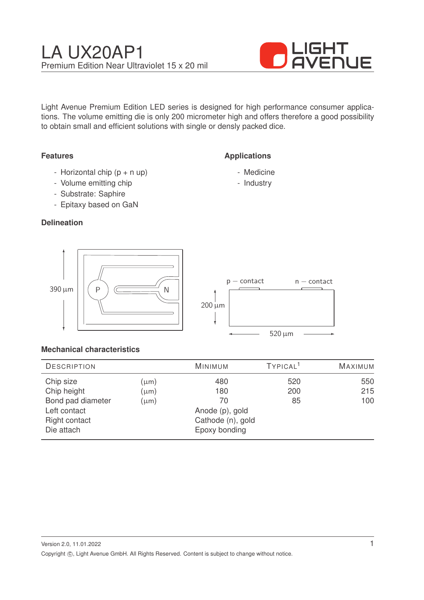

Light Avenue Premium Edition LED series is designed for high performance consumer applications. The volume emitting die is only 200 micrometer high and offers therefore a good possibility to obtain small and efficient solutions with single or densly packed dice.

**Applications**

- Medicine - Industry

## **Features**

- Horizontal chip  $(p + n \text{ up})$
- Volume emitting chip
- Substrate: Saphire
- Epitaxy based on GaN

### **Delineation**



## **Mechanical characteristics**

| <b>DESCRIPTION</b>   |           | <b>MINIMUM</b>    | TYPICAL <sup>1</sup> | MAXIMUM |
|----------------------|-----------|-------------------|----------------------|---------|
| Chip size            | $(\mu m)$ | 480               | 520                  | 550     |
| Chip height          | $(\mu m)$ | 180               | 200                  | 215     |
| Bond pad diameter    | $(\mu m)$ | 70                | 85                   | 100     |
| Left contact         |           | Anode (p), gold   |                      |         |
| <b>Right contact</b> |           | Cathode (n), gold |                      |         |
| Die attach           |           | Epoxy bonding     |                      |         |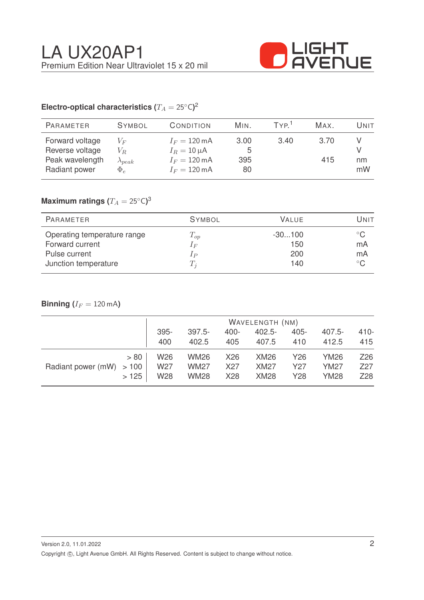

# Electro-optical characteristics ( $T_A = 25^{\circ} \text{C}$ )<sup>2</sup>

| <b>PARAMETER</b>                                                       | <b>SYMBOL</b>                                  | CONDITION                                                                                      | MIN.                   | TYP <sup>1</sup> | MAX.        | Unit     |
|------------------------------------------------------------------------|------------------------------------------------|------------------------------------------------------------------------------------------------|------------------------|------------------|-------------|----------|
| Forward voltage<br>Reverse voltage<br>Peak wavelength<br>Radiant power | $V_F$<br>$V_R$<br>$\lambda_{peak}$<br>$\Phi_e$ | $I_F = 120 \text{ mA}$<br>$I_R = 10 \mu A$<br>$I_F = 120 \text{ mA}$<br>$I_F = 120 \text{ mA}$ | 3.00<br>5<br>395<br>80 | 3.40             | 3.70<br>415 | nm<br>mW |

# $\mathsf{Maximum}$  ratings  $(T_A = 25^{\circ} \mathsf{C})^3$

| PARAMETER                   | <b>SYMBOL</b> | <b>VALUE</b> | Unit         |
|-----------------------------|---------------|--------------|--------------|
| Operating temperature range | $T_{op}$      | $-30100$     |              |
| Forward current             | $I_F$         | 150          | mA           |
| Pulse current               | $_{IP}$       | 200          | mA           |
| Junction temperature        |               | 140          | $^{\circ}$ C |

# **Binning**  $(I_F = 120 \text{ mA})$

|                           |      | WAVELENGTH (NM)        |                            |            |                            |            |                            |                        |
|---------------------------|------|------------------------|----------------------------|------------|----------------------------|------------|----------------------------|------------------------|
|                           |      | 395-                   | $397.5 -$                  | 400-       | $402.5 -$                  | $405 -$    | $407.5 -$                  | $410 -$                |
|                           |      | 400                    | 402.5                      | 405        | 407.5                      | 410        | 412.5                      | 415                    |
| Radiant power (mW) $>100$ | > 80 | W <sub>26</sub>        | <b>WM26</b>                | X26        | <b>XM26</b>                | Y26        | YM26                       | Z26                    |
|                           | >125 | W27<br>W <sub>28</sub> | <b>WM27</b><br><b>WM28</b> | X27<br>X28 | <b>XM27</b><br><b>XM28</b> | Y27<br>Y28 | <b>YM27</b><br><b>YM28</b> | Z <sub>27</sub><br>Z28 |
|                           |      |                        |                            |            |                            |            |                            |                        |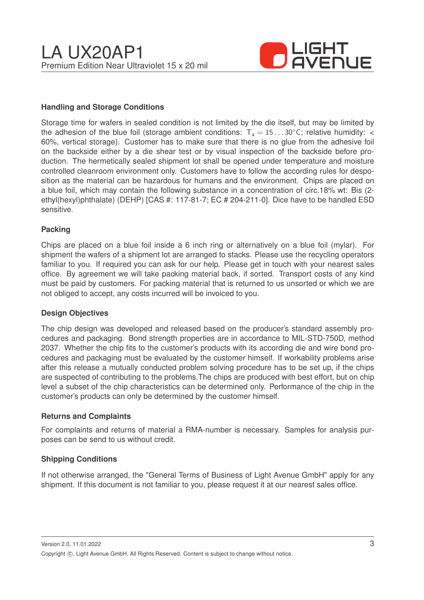

#### **Handling and Storage Conditions**

Storage time for wafers in sealed condition is not limited by the die itself, but may be limited by the adhesion of the blue foil (storage ambient conditions:  $T_a = 15...30^{\circ}$ C; relative humidity: < 60%, vertical storage). Customer has to make sure that there is no glue from the adhesive foil on the backside either by a die shear test or by visual inspection of the backside before production. The hermetically sealed shipment lot shall be opened under temperature and moisture controlled cleanroom environment only. Customers have to follow the according rules for desposition as the material can be hazardous for humans and the environment. Chips are placed on a blue foil, which may contain the following substance in a concentration of circ.18% wt: Bis (2 ethyl(hexyl)phthalate) (DEHP) [CAS #: 117-81-7; EC # 204-211-0]. Dice have to be handled ESD sensitive.

#### **Packing**

Chips are placed on a blue foil inside a 6 inch ring or alternatively on a blue foil (mylar). For shipment the wafers of a shipment lot are arranged to stacks. Please use the recycling operators familiar to you. If required you can ask for our help. Please get in touch with your nearest sales office. By agreement we will take packing material back, if sorted. Transport costs of any kind must be paid by customers. For packing material that is returned to us unsorted or which we are not obliged to accept, any costs incurred will be invoiced to you.

#### **Design Objectives**

The chip design was developed and released based on the producer's standard assembly procedures and packaging. Bond strength properties are in accordance to MIL-STD-750D, method 2037. Whether the chip fits to the customer's products with its according die and wire bond procedures and packaging must be evaluated by the customer himself. If workability problems arise after this release a mutually conducted problem solving procedure has to be set up, if the chips are suspected of contributing to the problems.The chips are produced with best effort, but on chip level a subset of the chip characteristics can be determined only. Performance of the chip in the customer's products can only be determined by the customer himself.

#### **Returns and Complaints**

For complaints and returns of material a RMA-number is necessary. Samples for analysis purposes can be send to us without credit.

#### **Shipping Conditions**

If not otherwise arranged, the "General Terms of Business of Light Avenue GmbH" apply for any shipment. If this document is not familiar to you, please request it at our nearest sales office.

Version 2.0, 11.01.2022 Copyright ©, Light Avenue GmbH. All Rights Reserved. Content is subject to change without notice.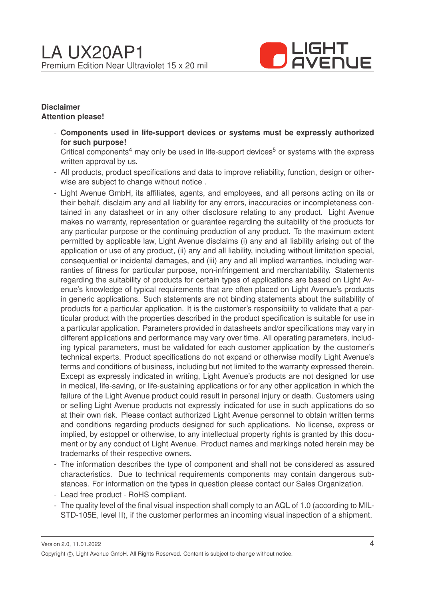

#### **Disclaimer Attention please!**

- **Components used in life-support devices or systems must be expressly authorized for such purpose!**

Critical components<sup>4</sup> may only be used in life-support devices<sup>5</sup> or systems with the express written approval by us.

- All products, product specifications and data to improve reliability, function, design or otherwise are subject to change without notice .
- Light Avenue GmbH, its affiliates, agents, and employees, and all persons acting on its or their behalf, disclaim any and all liability for any errors, inaccuracies or incompleteness contained in any datasheet or in any other disclosure relating to any product. Light Avenue makes no warranty, representation or guarantee regarding the suitability of the products for any particular purpose or the continuing production of any product. To the maximum extent permitted by applicable law, Light Avenue disclaims (i) any and all liability arising out of the application or use of any product, (ii) any and all liability, including without limitation special, consequential or incidental damages, and (iii) any and all implied warranties, including warranties of fitness for particular purpose, non-infringement and merchantability. Statements regarding the suitability of products for certain types of applications are based on Light Avenue's knowledge of typical requirements that are often placed on Light Avenue's products in generic applications. Such statements are not binding statements about the suitability of products for a particular application. It is the customer's responsibility to validate that a particular product with the properties described in the product specification is suitable for use in a particular application. Parameters provided in datasheets and/or specifications may vary in different applications and performance may vary over time. All operating parameters, including typical parameters, must be validated for each customer application by the customer's technical experts. Product specifications do not expand or otherwise modify Light Avenue's terms and conditions of business, including but not limited to the warranty expressed therein. Except as expressly indicated in writing, Light Avenue's products are not designed for use in medical, life-saving, or life-sustaining applications or for any other application in which the failure of the Light Avenue product could result in personal injury or death. Customers using or selling Light Avenue products not expressly indicated for use in such applications do so at their own risk. Please contact authorized Light Avenue personnel to obtain written terms and conditions regarding products designed for such applications. No license, express or implied, by estoppel or otherwise, to any intellectual property rights is granted by this document or by any conduct of Light Avenue. Product names and markings noted herein may be trademarks of their respective owners.
- The information describes the type of component and shall not be considered as assured characteristics. Due to technical requirements components may contain dangerous substances. For information on the types in question please contact our Sales Organization.
- Lead free product RoHS compliant.
- The quality level of the final visual inspection shall comply to an AQL of 1.0 (according to MIL-STD-105E, level II), if the customer performes an incoming visual inspection of a shipment.